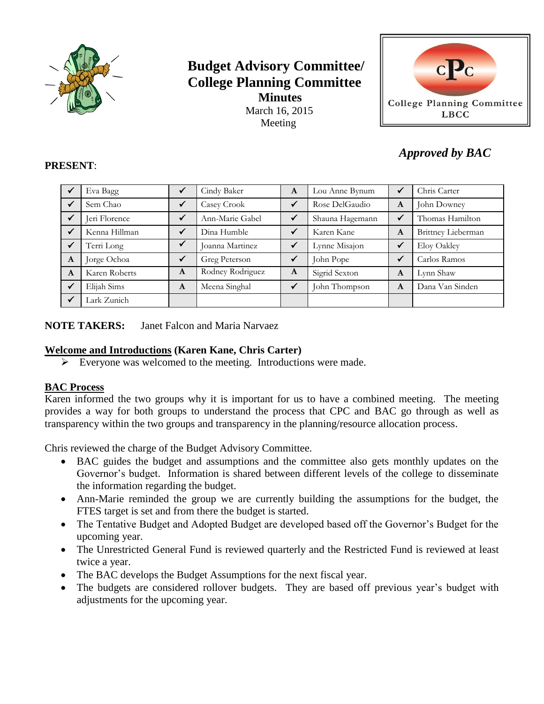

# **Budget Advisory Committee/ College Planning Committee Minutes** March 16, 2015 Meeting



# *Approved by BAC*

#### **PRESENT**:

|              | Eva Bagg      | $\checkmark$ | Cindy Baker      | A            | Lou Anne Bynum  |              | Chris Carter       |
|--------------|---------------|--------------|------------------|--------------|-----------------|--------------|--------------------|
|              | Sem Chao      | $\checkmark$ | Casey Crook      | $\checkmark$ | Rose DelGaudio  | A            | John Downey        |
|              | Jeri Florence | $\checkmark$ | Ann-Marie Gabel  | $\checkmark$ | Shauna Hagemann | $\checkmark$ | Thomas Hamilton    |
|              | Kenna Hillman | $\checkmark$ | Dina Humble      |              | Karen Kane      | A            | Brittney Lieberman |
|              | Terri Long    |              | Joanna Martinez  |              | Lynne Misajon   | $\checkmark$ | Eloy Oakley        |
| A            | Jorge Ochoa   | ✓            | Greg Peterson    | $\checkmark$ | John Pope       |              | Carlos Ramos       |
| A            | Karen Roberts | A            | Rodney Rodriguez | A            | Sigrid Sexton   | A            | Lynn Shaw          |
| $\checkmark$ | Elijah Sims   | A            | Meena Singhal    |              | John Thompson   | A            | Dana Van Sinden    |
|              | Lark Zunich   |              |                  |              |                 |              |                    |

**NOTE TAKERS:** Janet Falcon and Maria Narvaez

# **Welcome and Introductions (Karen Kane, Chris Carter)**

 $\triangleright$  Everyone was welcomed to the meeting. Introductions were made.

### **BAC Process**

Karen informed the two groups why it is important for us to have a combined meeting. The meeting provides a way for both groups to understand the process that CPC and BAC go through as well as transparency within the two groups and transparency in the planning/resource allocation process.

Chris reviewed the charge of the Budget Advisory Committee.

- BAC guides the budget and assumptions and the committee also gets monthly updates on the Governor's budget. Information is shared between different levels of the college to disseminate the information regarding the budget.
- Ann-Marie reminded the group we are currently building the assumptions for the budget, the FTES target is set and from there the budget is started.
- The Tentative Budget and Adopted Budget are developed based off the Governor's Budget for the upcoming year.
- The Unrestricted General Fund is reviewed quarterly and the Restricted Fund is reviewed at least twice a year.
- The BAC develops the Budget Assumptions for the next fiscal year.
- The budgets are considered rollover budgets. They are based off previous year's budget with adjustments for the upcoming year.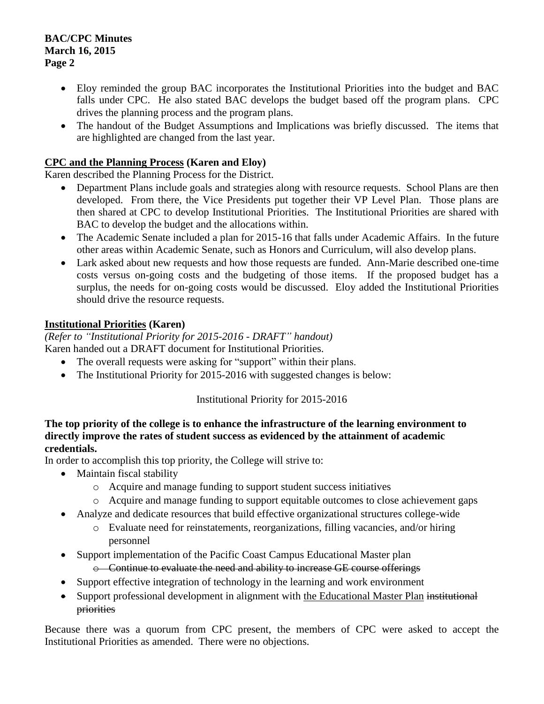#### **BAC/CPC Minutes March 16, 2015 Page 2**

- Eloy reminded the group BAC incorporates the Institutional Priorities into the budget and BAC falls under CPC. He also stated BAC develops the budget based off the program plans. CPC drives the planning process and the program plans.
- The handout of the Budget Assumptions and Implications was briefly discussed. The items that are highlighted are changed from the last year.

### **CPC and the Planning Process (Karen and Eloy)**

Karen described the Planning Process for the District.

- Department Plans include goals and strategies along with resource requests. School Plans are then developed. From there, the Vice Presidents put together their VP Level Plan. Those plans are then shared at CPC to develop Institutional Priorities. The Institutional Priorities are shared with BAC to develop the budget and the allocations within.
- The Academic Senate included a plan for 2015-16 that falls under Academic Affairs. In the future other areas within Academic Senate, such as Honors and Curriculum, will also develop plans.
- Lark asked about new requests and how those requests are funded. Ann-Marie described one-time costs versus on-going costs and the budgeting of those items. If the proposed budget has a surplus, the needs for on-going costs would be discussed. Eloy added the Institutional Priorities should drive the resource requests.

# **Institutional Priorities (Karen)**

*(Refer to "Institutional Priority for 2015-2016 - DRAFT" handout)* Karen handed out a DRAFT document for Institutional Priorities.

- The overall requests were asking for "support" within their plans.
- The Institutional Priority for 2015-2016 with suggested changes is below:

### Institutional Priority for 2015-2016

### **The top priority of the college is to enhance the infrastructure of the learning environment to directly improve the rates of student success as evidenced by the attainment of academic credentials.**

In order to accomplish this top priority, the College will strive to:

- Maintain fiscal stability
	- o Acquire and manage funding to support student success initiatives
	- o Acquire and manage funding to support equitable outcomes to close achievement gaps
- Analyze and dedicate resources that build effective organizational structures college-wide
	- o Evaluate need for reinstatements, reorganizations, filling vacancies, and/or hiring personnel
- Support implementation of the Pacific Coast Campus Educational Master plan o Continue to evaluate the need and ability to increase GE course offerings
- Support effective integration of technology in the learning and work environment
- Support professional development in alignment with the Educational Master Plan institutional priorities

Because there was a quorum from CPC present, the members of CPC were asked to accept the Institutional Priorities as amended. There were no objections.